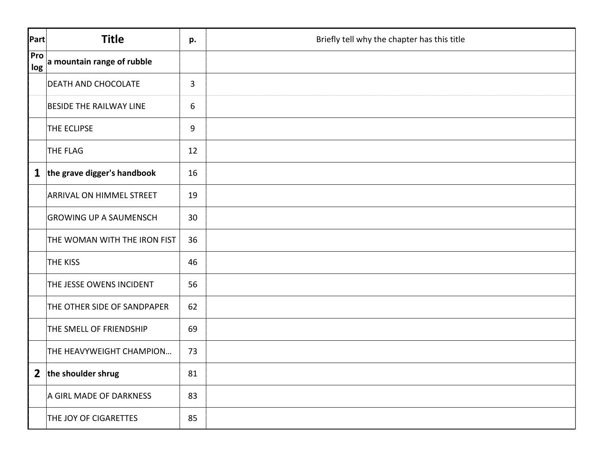| Part           | <b>Title</b>                    | p.             | Briefly tell why the chapter has this title |
|----------------|---------------------------------|----------------|---------------------------------------------|
| Pro<br>log     | a mountain range of rubble      |                |                                             |
|                | DEATH AND CHOCOLATE             | $\overline{3}$ |                                             |
|                | <b>BESIDE THE RAILWAY LINE</b>  | 6              |                                             |
|                | THE ECLIPSE                     | 9              |                                             |
|                | THE FLAG                        | 12             |                                             |
|                | 1 the grave digger's handbook   | 16             |                                             |
|                | <b>ARRIVAL ON HIMMEL STREET</b> | 19             |                                             |
|                | <b>GROWING UP A SAUMENSCH</b>   | 30             |                                             |
|                | THE WOMAN WITH THE IRON FIST    | 36             |                                             |
|                | <b>THE KISS</b>                 | 46             |                                             |
|                | THE JESSE OWENS INCIDENT        | 56             |                                             |
|                | THE OTHER SIDE OF SANDPAPER     | 62             |                                             |
|                | THE SMELL OF FRIENDSHIP         | 69             |                                             |
|                | THE HEAVYWEIGHT CHAMPION        | 73             |                                             |
| $\overline{2}$ | the shoulder shrug              | 81             |                                             |
|                | A GIRL MADE OF DARKNESS         | 83             |                                             |
|                | THE JOY OF CIGARETTES           | 85             |                                             |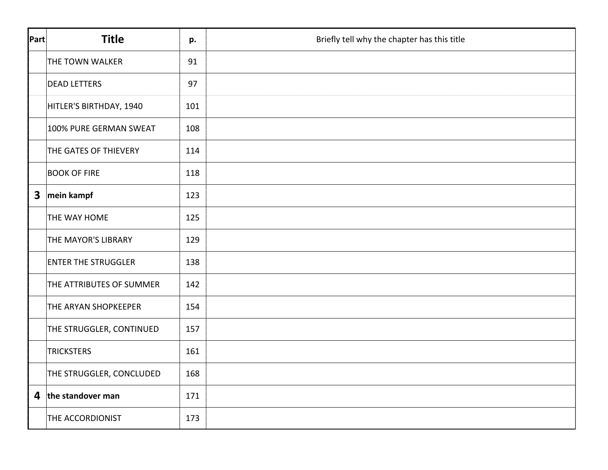| Part                    | <b>Title</b>               | p.  | Briefly tell why the chapter has this title |
|-------------------------|----------------------------|-----|---------------------------------------------|
|                         | THE TOWN WALKER            | 91  |                                             |
|                         | <b>DEAD LETTERS</b>        | 97  |                                             |
|                         | HITLER'S BIRTHDAY, 1940    | 101 |                                             |
|                         | 100% PURE GERMAN SWEAT     | 108 |                                             |
|                         | THE GATES OF THIEVERY      | 114 |                                             |
|                         | <b>BOOK OF FIRE</b>        | 118 |                                             |
| $\overline{\mathbf{3}}$ | mein kampf                 | 123 |                                             |
|                         | THE WAY HOME               | 125 |                                             |
|                         | THE MAYOR'S LIBRARY        | 129 |                                             |
|                         | <b>ENTER THE STRUGGLER</b> | 138 |                                             |
|                         | THE ATTRIBUTES OF SUMMER   | 142 |                                             |
|                         | THE ARYAN SHOPKEEPER       | 154 |                                             |
|                         | THE STRUGGLER, CONTINUED   | 157 |                                             |
|                         | <b>TRICKSTERS</b>          | 161 |                                             |
|                         | THE STRUGGLER, CONCLUDED   | 168 |                                             |
|                         | 4 the standover man        | 171 |                                             |
|                         | THE ACCORDIONIST           | 173 |                                             |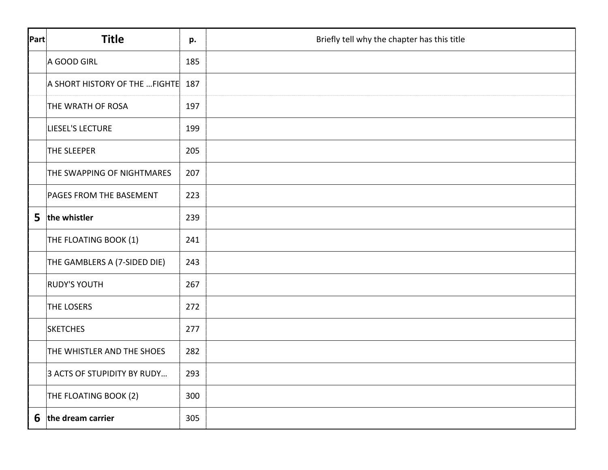| Part | <b>Title</b>                   | p.  | Briefly tell why the chapter has this title |
|------|--------------------------------|-----|---------------------------------------------|
|      | A GOOD GIRL                    | 185 |                                             |
|      | A SHORT HISTORY OF THE  FIGHTE | 187 |                                             |
|      | THE WRATH OF ROSA              | 197 |                                             |
|      | LIESEL'S LECTURE               | 199 |                                             |
|      | THE SLEEPER                    | 205 |                                             |
|      | THE SWAPPING OF NIGHTMARES     | 207 |                                             |
|      | PAGES FROM THE BASEMENT        | 223 |                                             |
| 5    | the whistler                   | 239 |                                             |
|      | THE FLOATING BOOK (1)          | 241 |                                             |
|      | THE GAMBLERS A (7-SIDED DIE)   | 243 |                                             |
|      | <b>RUDY'S YOUTH</b>            | 267 |                                             |
|      | THE LOSERS                     | 272 |                                             |
|      | <b>SKETCHES</b>                | 277 |                                             |
|      | THE WHISTLER AND THE SHOES     | 282 |                                             |
|      | 3 ACTS OF STUPIDITY BY RUDY    | 293 |                                             |
|      | THE FLOATING BOOK (2)          | 300 |                                             |
|      | $6$ the dream carrier          | 305 |                                             |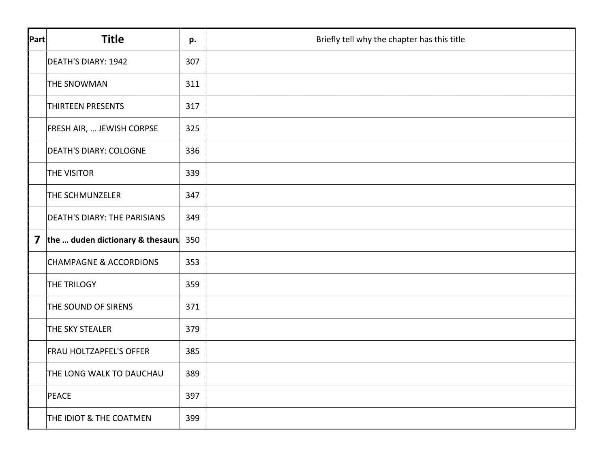| Part                    | <b>Title</b>                        | p.  | Briefly tell why the chapter has this title |
|-------------------------|-------------------------------------|-----|---------------------------------------------|
|                         | <b>DEATH'S DIARY: 1942</b>          | 307 |                                             |
|                         | <b>THE SNOWMAN</b>                  | 311 |                                             |
|                         | <b>THIRTEEN PRESENTS</b>            | 317 |                                             |
|                         | FRESH AIR,  JEWISH CORPSE           | 325 |                                             |
|                         | <b>DEATH'S DIARY: COLOGNE</b>       | 336 |                                             |
|                         | <b>THE VISITOR</b>                  | 339 |                                             |
|                         | THE SCHMUNZELER                     | 347 |                                             |
|                         | <b>DEATH'S DIARY: THE PARISIANS</b> | 349 |                                             |
| $\overline{\mathbf{z}}$ | the  duden dictionary & thesauru    | 350 |                                             |
|                         | <b>CHAMPAGNE &amp; ACCORDIONS</b>   | 353 |                                             |
|                         | <b>THE TRILOGY</b>                  | 359 |                                             |
|                         | THE SOUND OF SIRENS                 | 371 |                                             |
|                         | THE SKY STEALER                     | 379 |                                             |
|                         | <b>FRAU HOLTZAPFEL'S OFFER</b>      | 385 |                                             |
|                         | THE LONG WALK TO DAUCHAU            | 389 |                                             |
|                         | PEACE                               | 397 |                                             |
|                         | THE IDIOT & THE COATMEN             | 399 |                                             |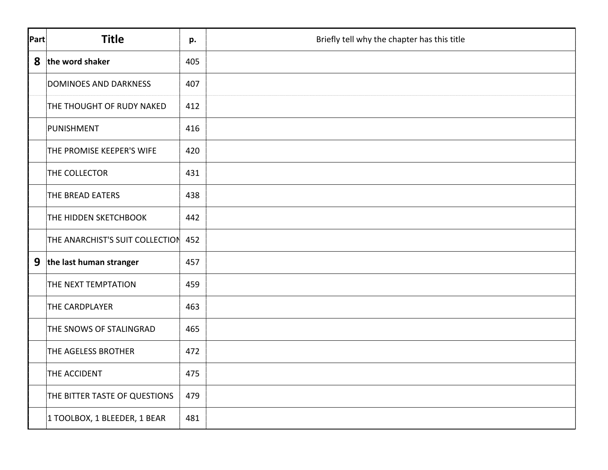| Part | <b>Title</b>                    | p.  | Briefly tell why the chapter has this title |
|------|---------------------------------|-----|---------------------------------------------|
| 8    | the word shaker                 | 405 |                                             |
|      | <b>DOMINOES AND DARKNESS</b>    | 407 |                                             |
|      | THE THOUGHT OF RUDY NAKED       | 412 |                                             |
|      | PUNISHMENT                      | 416 |                                             |
|      | THE PROMISE KEEPER'S WIFE       | 420 |                                             |
|      | THE COLLECTOR                   | 431 |                                             |
|      | THE BREAD EATERS                | 438 |                                             |
|      | THE HIDDEN SKETCHBOOK           | 442 |                                             |
|      | THE ANARCHIST'S SUIT COLLECTION | 452 |                                             |
| 9    | the last human stranger         | 457 |                                             |
|      | THE NEXT TEMPTATION             | 459 |                                             |
|      | THE CARDPLAYER                  | 463 |                                             |
|      | THE SNOWS OF STALINGRAD         | 465 |                                             |
|      | THE AGELESS BROTHER             | 472 |                                             |
|      | THE ACCIDENT                    | 475 |                                             |
|      | THE BITTER TASTE OF QUESTIONS   | 479 |                                             |
|      | 1 TOOLBOX, 1 BLEEDER, 1 BEAR    | 481 |                                             |